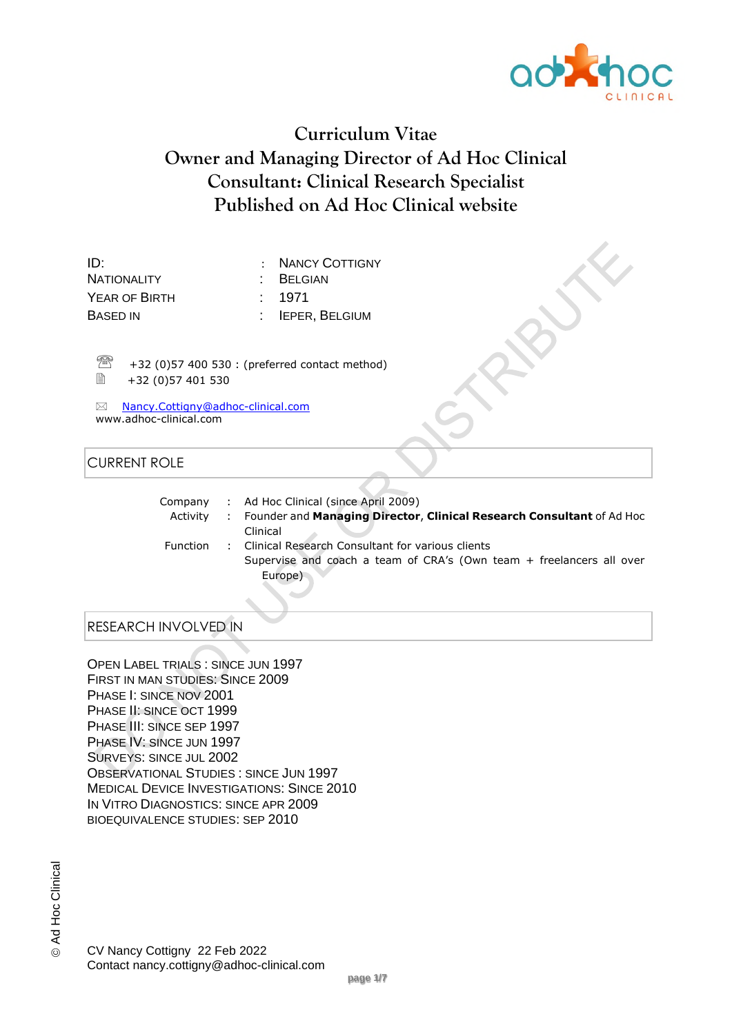

# **Curriculum Vitae Owner and Managing Director of Ad Hoc Clinical Consultant: Clinical Research Specialist Published on Ad Hoc Clinical website**

ID: : NANCY COTTIGNY NATIONALITY : BELGIAN YEAR OF BIRTH : 1971 BASED IN : IEPER, BELGIUM

 $\frac{1}{2}$  +32 (0)57 400 530 : (preferred contact method)<br>■ +32 (0)57 401 530 +32 (0)57 401 530

 Nancy.Cottigny@adhoc-clinical.com www.adhoc-clinical.com

## CURRENT ROLE

| Company         | : Ad Hoc Clinical (since April 2009)                                    |
|-----------------|-------------------------------------------------------------------------|
| Activity        | : Founder and Managing Director, Clinical Research Consultant of Ad Hoc |
|                 | Clinical                                                                |
| <b>Function</b> | : Clinical Research Consultant for various clients                      |
|                 | Supervise and coach a team of CRA's (Own team + freelancers all over    |
|                 | Europe)                                                                 |

# RESEARCH INVOLVED IN

OPEN LABEL TRIALS : SINCE JUN 1997 FIRST IN MAN STUDIES: SINCE 2009 PHASE I: SINCE NOV 2001 PHASE II: SINCE OCT 1999 PHASE III: SINCE SEP 1997 PHASE IV: SINCE JUN 1997 SURVEYS: SINCE JUL 2002 OBSERVATIONAL STUDIES : SINCE JUN 1997 MEDICAL DEVICE INVESTIGATIONS: SINCE 2010 IN VITRO DIAGNOSTICS: SINCE APR 2009 BIOEQUIVALENCE STUDIES: SEP 2010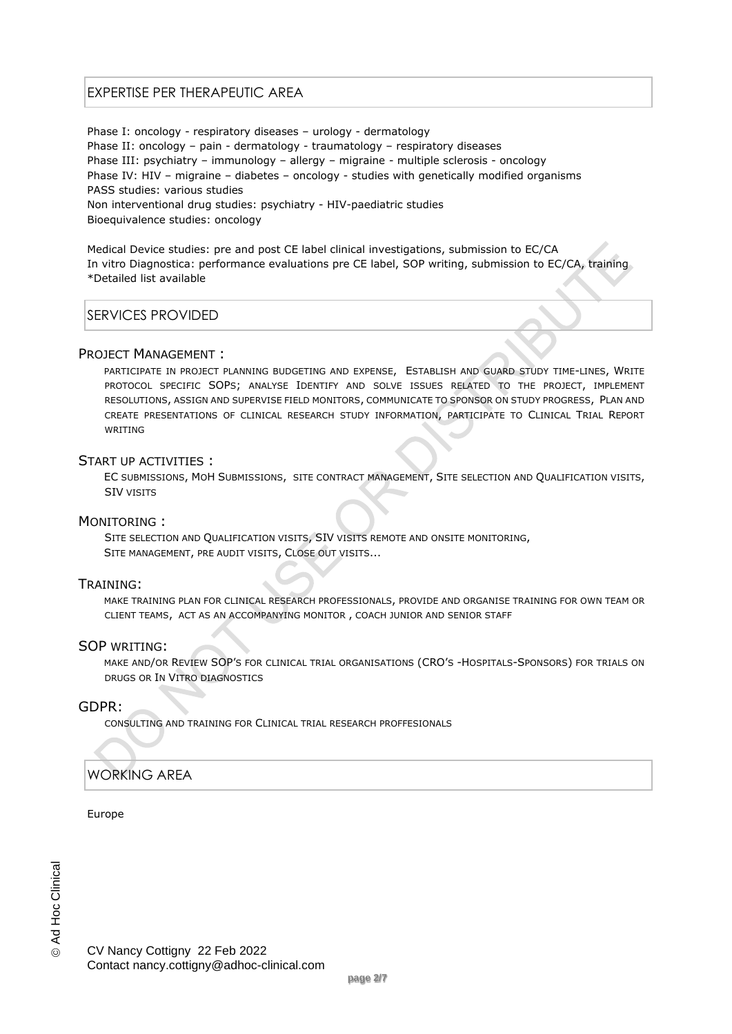## EXPERTISE PER THERAPEUTIC AREA

Phase I: oncology - respiratory diseases – urology - dermatology Phase II: oncology – pain - dermatology - traumatology – respiratory diseases Phase III: psychiatry – immunology – allergy – migraine - multiple sclerosis - oncology Phase IV: HIV – migraine – diabetes – oncology - studies with genetically modified organisms PASS studies: various studies Non interventional drug studies: psychiatry - HIV-paediatric studies Bioequivalence studies: oncology

Medical Device studies: pre and post CE label clinical investigations, submission to EC/CA In vitro Diagnostica: performance evaluations pre CE label, SOP writing, submission to EC/CA, training \*Detailed list available

### SERVICES PROVIDED

#### PROJECT MANAGEMENT :

PARTICIPATE IN PROJECT PLANNING BUDGETING AND EXPENSE, ESTABLISH AND GUARD STUDY TIME-LINES, WRITE PROTOCOL SPECIFIC SOPS; ANALYSE IDENTIFY AND SOLVE ISSUES RELATED TO THE PROJECT, IMPLEMENT RESOLUTIONS, ASSIGN AND SUPERVISE FIELD MONITORS, COMMUNICATE TO SPONSOR ON STUDY PROGRESS, PLAN AND CREATE PRESENTATIONS OF CLINICAL RESEARCH STUDY INFORMATION, PARTICIPATE TO CLINICAL TRIAL REPORT WRITING

#### START UP ACTIVITIES :

EC SUBMISSIONS, MOH SUBMISSIONS, SITE CONTRACT MANAGEMENT, SITE SELECTION AND QUALIFICATION VISITS, SIV VISITS

#### MONITORING :

SITE SELECTION AND QUALIFICATION VISITS, SIV VISITS REMOTE AND ONSITE MONITORING, SITE MANAGEMENT, PRE AUDIT VISITS, CLOSE OUT VISITS...

#### TRAINING:

MAKE TRAINING PLAN FOR CLINICAL RESEARCH PROFESSIONALS, PROVIDE AND ORGANISE TRAINING FOR OWN TEAM OR CLIENT TEAMS, ACT AS AN ACCOMPANYING MONITOR , COACH JUNIOR AND SENIOR STAFF

#### SOP WRITING:

MAKE AND/OR REVIEW SOP'S FOR CLINICAL TRIAL ORGANISATIONS (CRO'S -HOSPITALS-SPONSORS) FOR TRIALS ON DRUGS OR IN VITRO DIAGNOSTICS

#### GDPR:

CONSULTING AND TRAINING FOR CLINICAL TRIAL RESEARCH PROFFESIONALS

#### WORKING AREA

Europe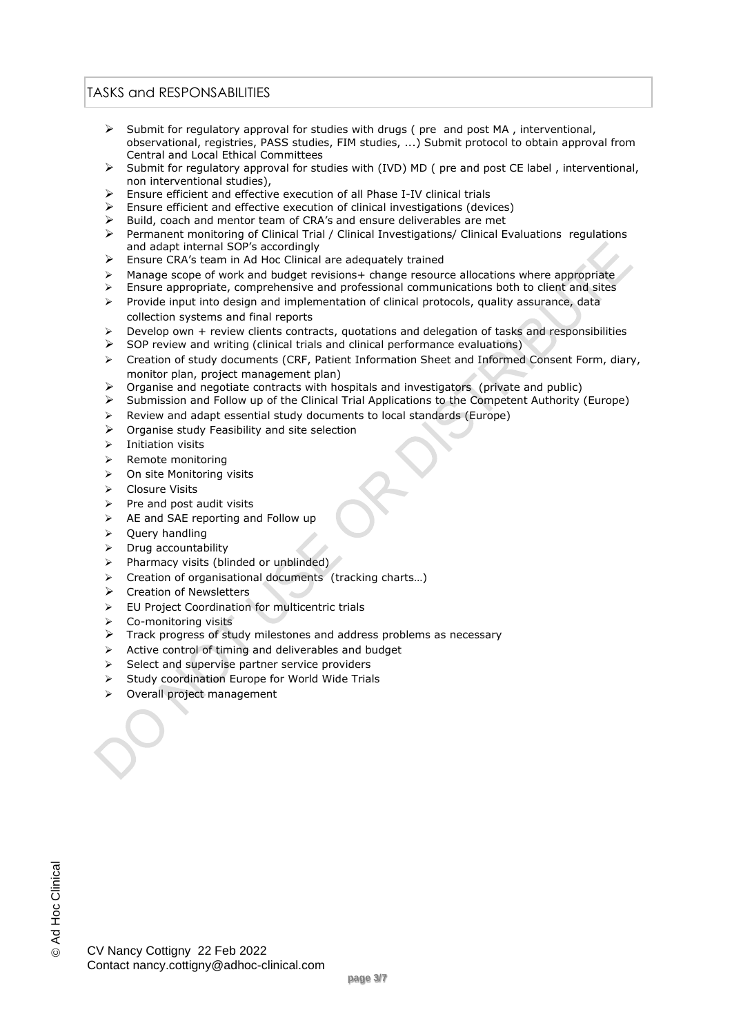## TASKS and RESPONSABILITIES

- $\triangleright$  Submit for regulatory approval for studies with drugs ( pre and post MA , interventional, observational, registries, PASS studies, FIM studies, ...) Submit protocol to obtain approval from Central and Local Ethical Committees
- $\triangleright$  Submit for regulatory approval for studies with (IVD) MD ( pre and post CE label , interventional, non interventional studies),
- $\triangleright$  Ensure efficient and effective execution of all Phase I-IV clinical trials
- Ensure efficient and effective execution of clinical investigations (devices)
- $\triangleright$  Build, coach and mentor team of CRA's and ensure deliverables are met  $\triangleright$  Permanent monitoring of Clinical Trial / Clinical Investigations/ Clinical F
- Permanent monitoring of Clinical Trial / Clinical Investigations/ Clinical Evaluations regulations and adapt internal SOP's accordingly
- Ensure CRA's team in Ad Hoc Clinical are adequately trained
- $\triangleright$  Manage scope of work and budget revisions + change resource allocations where appropriate
- $\triangleright$  Ensure appropriate, comprehensive and professional communications both to client and sites
- Provide input into design and implementation of clinical protocols, quality assurance, data collection systems and final reports
- Develop own + review clients contracts, quotations and delegation of tasks and responsibilities
- $\triangleright$  SOP review and writing (clinical trials and clinical performance evaluations)
- $\triangleright$  Creation of study documents (CRF, Patient Information Sheet and Informed Consent Form, diary, monitor plan, project management plan)
- Organise and negotiate contracts with hospitals and investigators (private and public)
- $\triangleright$  Submission and Follow up of the Clinical Trial Applications to the Competent Authority (Europe)
- $\triangleright$  Review and adapt essential study documents to local standards (Europe)
- $\triangleright$  Organise study Feasibility and site selection
- $\triangleright$  Initiation visits
- > Remote monitoring
- $\triangleright$  On site Monitoring visits
- ▶ Closure Visits
- Pre and post audit visits
- $\triangleright$  AE and SAE reporting and Follow up
- $\triangleright$  Ouerv handling
- $\triangleright$  Drug accountability
- $\triangleright$  Pharmacy visits (blinded or unblinded)
- Creation of organisational documents (tracking charts…)
- $\triangleright$  Creation of Newsletters
- $\triangleright$  EU Project Coordination for multicentric trials
- Co-monitoring visits
- $\triangleright$  Track progress of study milestones and address problems as necessary
- $\triangleright$  Active control of timing and deliverables and budget
- $\triangleright$  Select and supervise partner service providers
- $\triangleright$  Study coordination Europe for World Wide Trials
- > Overall project management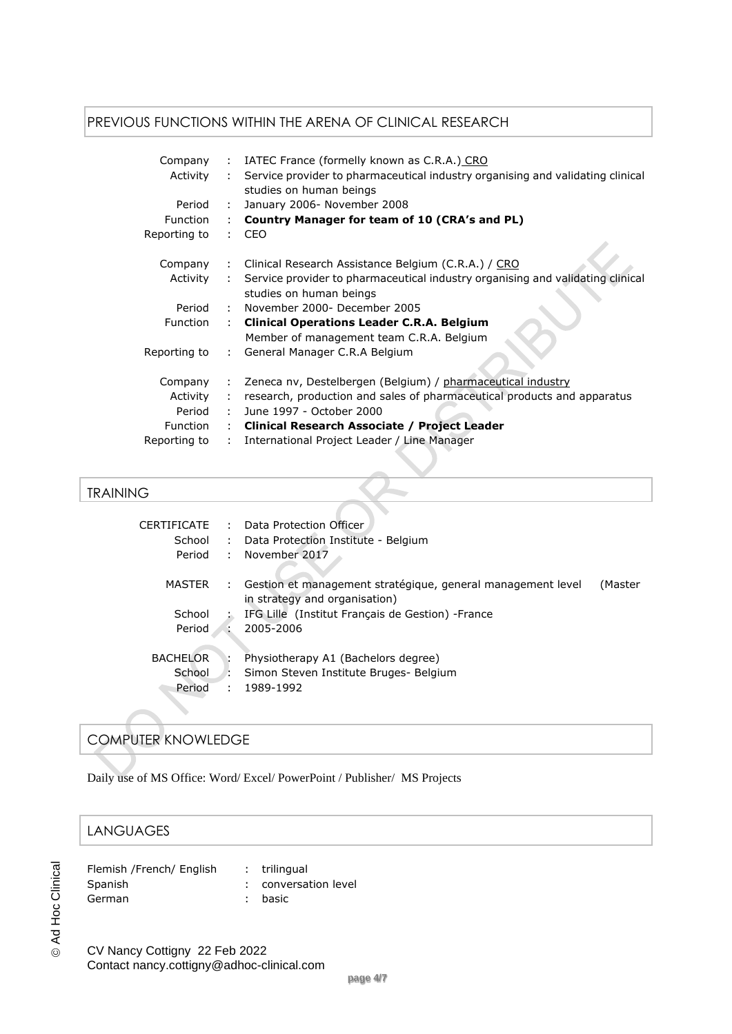## PREVIOUS FUNCTIONS WITHIN THE ARENA OF CLINICAL RESEARCH

| Company<br>Activity | IATEC France (formelly known as C.R.A.) CRO<br>$\mathcal{L}$<br>Service provider to pharmaceutical industry organising and validating clinical<br>$\mathbf{L}$<br>studies on human beings |  |  |
|---------------------|-------------------------------------------------------------------------------------------------------------------------------------------------------------------------------------------|--|--|
| Period              | January 2006- November 2008<br>$\mathcal{L}$                                                                                                                                              |  |  |
| <b>Function</b>     | Country Manager for team of 10 (CRA's and PL)<br>÷.                                                                                                                                       |  |  |
| Reporting to        | CEO<br>$\mathbf{L}$                                                                                                                                                                       |  |  |
| Company             | Clinical Research Assistance Belgium (C.R.A.) / CRO<br>$\mathbb{Z}^{\mathbb{Z}}$                                                                                                          |  |  |
| Activity            | Service provider to pharmaceutical industry organising and validating clinical<br>$\mathbf{L}$<br>studies on human beings                                                                 |  |  |
| Period              | : November 2000- December 2005                                                                                                                                                            |  |  |
| <b>Function</b>     | <b>Clinical Operations Leader C.R.A. Belgium</b><br>t.                                                                                                                                    |  |  |
|                     | Member of management team C.R.A. Belgium                                                                                                                                                  |  |  |
| Reporting to        | General Manager C.R.A Belgium<br>$\mathcal{L}$                                                                                                                                            |  |  |
| Company             | Zeneca nv, Destelbergen (Belgium) / pharmaceutical industry<br>÷                                                                                                                          |  |  |
| Activity            | research, production and sales of pharmaceutical products and apparatus                                                                                                                   |  |  |
| Period              | June 1997 - October 2000<br>÷.                                                                                                                                                            |  |  |
| Function            | Clinical Research Associate / Project Leader<br>$\mathbb{Z}^{\mathbb{Z}}$                                                                                                                 |  |  |
| Reporting to        | International Project Leader / Line Manager<br>÷.                                                                                                                                         |  |  |

## TRAINING

| CERTIFICATE     | ÷  | Data Protection Officer                                                                      |         |
|-----------------|----|----------------------------------------------------------------------------------------------|---------|
| School          | ÷  | Data Protection Institute - Belgium                                                          |         |
| Period          | ÷. | November 2017                                                                                |         |
| <b>MASTER</b>   | ÷. | Gestion et management stratégique, general management level<br>in strategy and organisation) | (Master |
| School          |    | IFG Lille (Institut Français de Gestion) - France                                            |         |
| Period          |    | 2005-2006                                                                                    |         |
| <b>BACHELOR</b> |    | Physiotherapy A1 (Bachelors degree)                                                          |         |
| School          | ÷  | Simon Steven Institute Bruges- Belgium                                                       |         |
| Period          | ÷  | 1989-1992                                                                                    |         |

# COMPUTER KNOWLEDGE

Daily use of MS Office: Word/ Excel/ PowerPoint / Publisher/ MS Projects

# LANGUAGES

| Flemish /French/ English | : trilingual         |
|--------------------------|----------------------|
| Spanish                  | : conversation level |
| German                   | : basic              |

CV Nancy Cottigny 22 Feb 2022 Contact nancy.cottigny@adhoc-clinical.com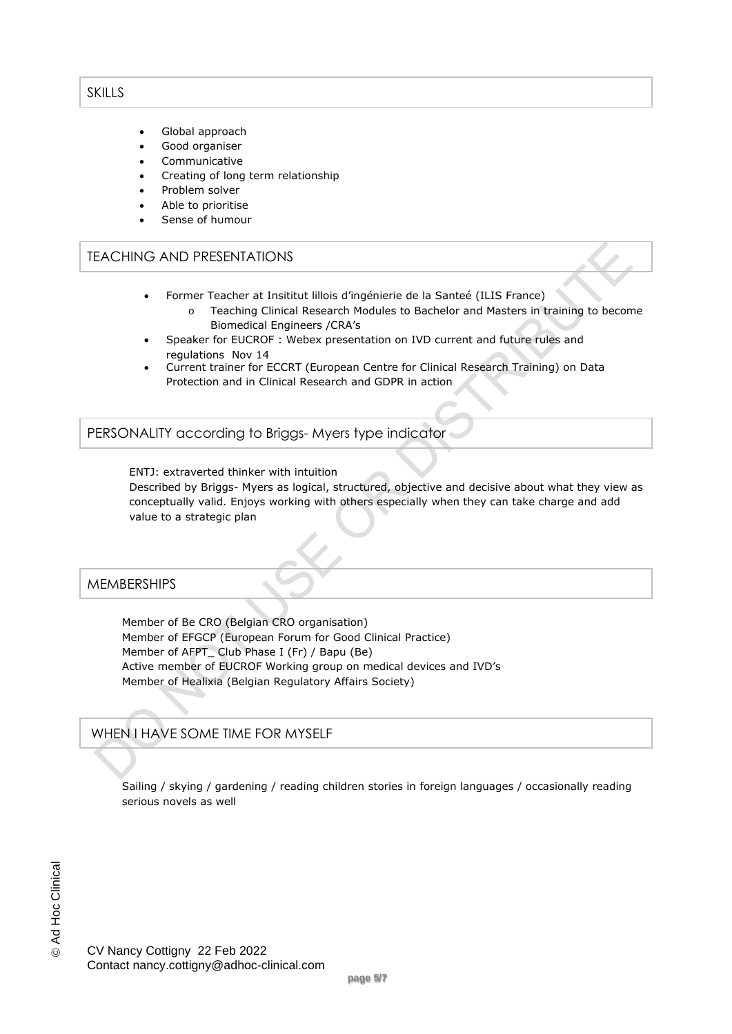## SKILLS

- Global approach
- Good organiser
- Communicative
- Creating of long term relationship
- Problem solver
- Able to prioritise
- Sense of humour

### TEACHING AND PRESENTATIONS

- Former Teacher at Insititut lillois d'ingénierie de la Santeé (ILIS France)
	- o Teaching Clinical Research Modules to Bachelor and Masters in training to become Biomedical Engineers /CRA's
- Speaker for EUCROF : Webex presentation on IVD current and future rules and regulations Nov 14
- Current trainer for ECCRT (European Centre for Clinical Research Training) on Data Protection and in Clinical Research and GDPR in action

PERSONALITY according to Briggs- Myers type indicator

ENTJ: extraverted thinker with intuition

Described by Briggs- Myers as logical, structured, objective and decisive about what they view as conceptually valid. Enjoys working with others especially when they can take charge and add value to a strategic plan

## **MEMBERSHIPS**

Member of Be CRO (Belgian CRO organisation) Member of EFGCP (European Forum for Good Clinical Practice) Member of AFPT Club Phase I (Fr) / Bapu (Be) Active member of EUCROF Working group on medical devices and IVD's Member of Healixia (Belgian Regulatory Affairs Society)

# WHEN I HAVE SOME TIME FOR MYSELF

Sailing / skying / gardening / reading children stories in foreign languages / occasionally reading serious novels as well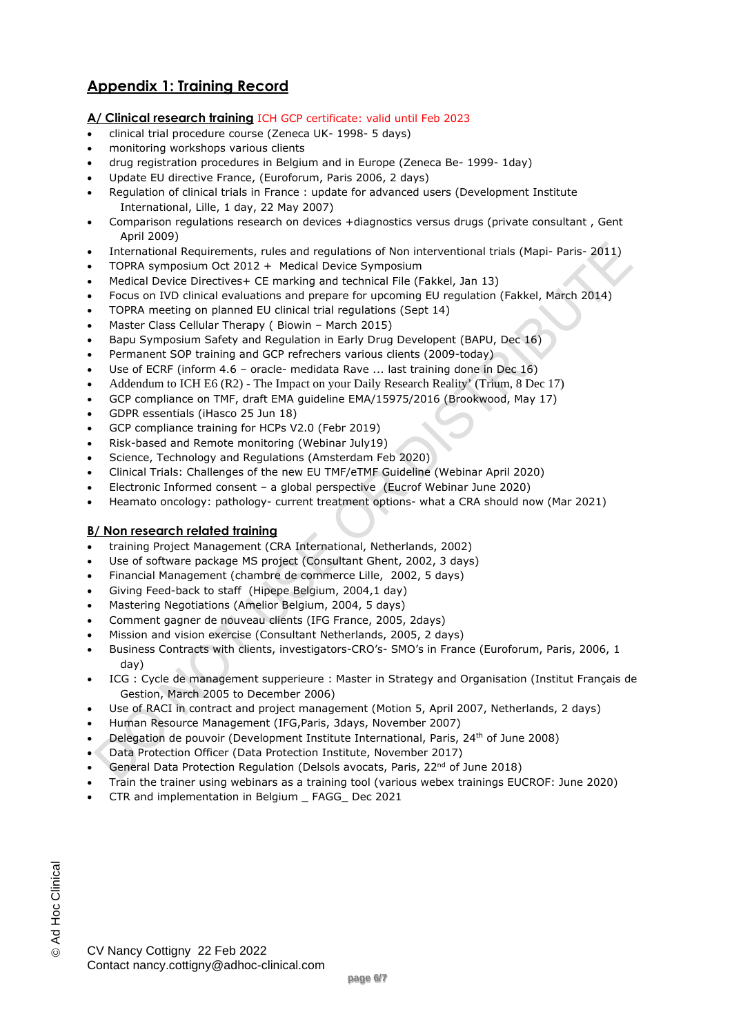# **Appendix 1: Training Record**

#### **A/ Clinical research training** ICH GCP certificate: valid until Feb 2023

- clinical trial procedure course (Zeneca UK- 1998- 5 days)
- monitoring workshops various clients
- drug registration procedures in Belgium and in Europe (Zeneca Be- 1999- 1day)
- Update EU directive France, (Euroforum, Paris 2006, 2 days)
- Regulation of clinical trials in France : update for advanced users (Development Institute International, Lille, 1 day, 22 May 2007)
- Comparison regulations research on devices +diagnostics versus drugs (private consultant , Gent April 2009)
- International Requirements, rules and regulations of Non interventional trials (Mapi- Paris- 2011)
- TOPRA symposium Oct 2012 + Medical Device Symposium
- Medical Device Directives+ CE marking and technical File (Fakkel, Jan 13)
- Focus on IVD clinical evaluations and prepare for upcoming EU regulation (Fakkel, March 2014)
- TOPRA meeting on planned EU clinical trial regulations (Sept 14)
- Master Class Cellular Therapy ( Biowin March 2015)
- Bapu Symposium Safety and Regulation in Early Drug Developent (BAPU, Dec 16)
- Permanent SOP training and GCP refrechers various clients (2009-today)
- Use of ECRF (inform 4.6 oracle- medidata Rave ... last training done in Dec 16)
- Addendum to ICH E6 (R2) The Impact on your Daily Research Reality' (Trium, 8 Dec 17)
- GCP compliance on TMF, draft EMA guideline EMA/15975/2016 (Brookwood, May 17)
- GDPR essentials (iHasco 25 Jun 18)
- GCP compliance training for HCPs V2.0 (Febr 2019)
- Risk-based and Remote monitoring (Webinar July19)
- Science, Technology and Regulations (Amsterdam Feb 2020)
- Clinical Trials: Challenges of the new EU TMF/eTMF Guideline (Webinar April 2020)
- Electronic Informed consent a global perspective (Eucrof Webinar June 2020)
- Heamato oncology: pathology- current treatment options- what a CRA should now (Mar 2021)

#### **B/ Non research related training**

- training Project Management (CRA International, Netherlands, 2002)
- Use of software package MS project (Consultant Ghent, 2002, 3 days)
- Financial Management (chambre de commerce Lille, 2002, 5 days)
- Giving Feed-back to staff (Hipepe Belgium, 2004,1 day)
- Mastering Negotiations (Amelior Belgium, 2004, 5 days)
- Comment gagner de nouveau clients (IFG France, 2005, 2days)
- Mission and vision exercise (Consultant Netherlands, 2005, 2 days)
- Business Contracts with clients, investigators-CRO's- SMO's in France (Euroforum, Paris, 2006, 1 day)
- ICG : Cycle de management supperieure : Master in Strategy and Organisation (Institut Français de Gestion, March 2005 to December 2006)
- Use of RACI in contract and project management (Motion 5, April 2007, Netherlands, 2 days)
- Human Resource Management (IFG,Paris, 3days, November 2007)
- Delegation de pouvoir (Development Institute International, Paris, 24th of June 2008)
- Data Protection Officer (Data Protection Institute, November 2017)
- General Data Protection Regulation (Delsols avocats, Paris,  $22<sup>nd</sup>$  of June 2018)
- Train the trainer using webinars as a training tool (various webex trainings EUCROF: June 2020)
- CTR and implementation in Belgium \_ FAGG\_ Dec 2021